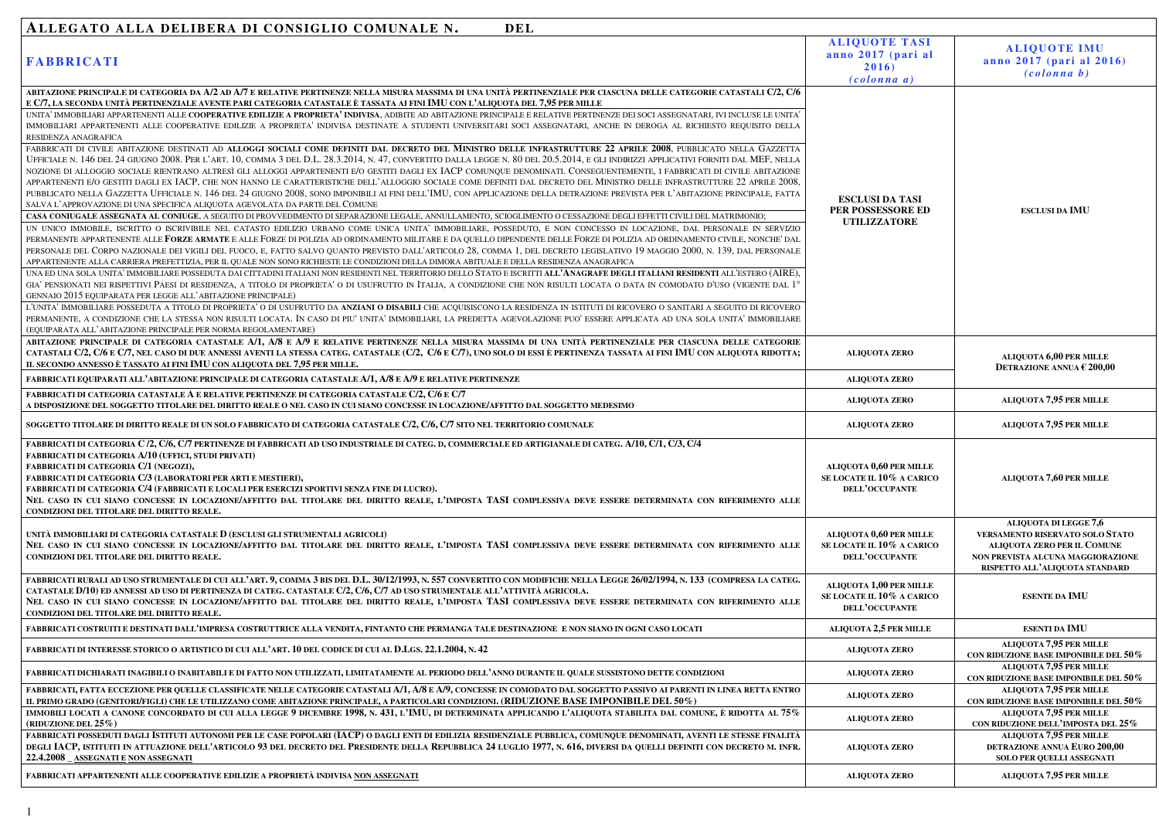## ALLEGATO ALLA DELIBERA DI CONSIGLIO COMUNALE N. DEL

| <b>FABBRICATI</b>                                                                                                                                                                                                                                                                                                                                                                                                                                                                                                                                                                                                                                                                                                                                                                                                                                                                                                                                                                        | <b>ALIQUE</b><br>anno 20<br>2(<br>(col           |
|------------------------------------------------------------------------------------------------------------------------------------------------------------------------------------------------------------------------------------------------------------------------------------------------------------------------------------------------------------------------------------------------------------------------------------------------------------------------------------------------------------------------------------------------------------------------------------------------------------------------------------------------------------------------------------------------------------------------------------------------------------------------------------------------------------------------------------------------------------------------------------------------------------------------------------------------------------------------------------------|--------------------------------------------------|
| ABITAZIONE PRINCIPALE DI CATEGORIA DA A/2 AD A/7 E RELATIVE PERTINENZE NELLA MISURA MASSIMA DI UNA UNITÀ PERTINENZIALE PER CIASCUNA DELLE CATEGORIE CATASTALI C/2, C/6                                                                                                                                                                                                                                                                                                                                                                                                                                                                                                                                                                                                                                                                                                                                                                                                                   |                                                  |
| E C/7, LA SECONDA UNITÀ PERTINENZIALE AVENTE PARI CATEGORIA CATASTALE È TASSATA AI FINI IMU CON L'ALIQUOTA DEL 7,95 PER MILLE<br>UNITA' IMMOBILIARI APPARTENENTI ALLE COOPERATIVE EDILIZIE A PROPRIETA' INDIVISA, ADIBITE AD ABITAZIONE PRINCIPALE E RELATIVE PERTINENZE DEI SOCI ASSEGNATARI, IVI INCLUSE LE UNITA'<br>IMMOBILIARI APPARTENENTI ALLE COOPERATIVE EDILIZIE A PROPRIETA' INDIVISA DESTINATE A STUDENTI UNIVERSITARI SOCI ASSEGNATARI, ANCHE IN DEROGA AL RICHIESTO REQUISITO DELLA<br>RESIDENZA ANAGRAFICA                                                                                                                                                                                                                                                                                                                                                                                                                                                                |                                                  |
| FABBRICATI DI CIVILE ABITAZIONE DESTINATI AD ALLOGGI SOCIALI COME DEFINITI DAL DECRETO DEL MINISTRO DELLE INFRASTRUTTURE 22 APRILE 2008, PUBBLICATO NELLA GAZZETTA<br>UFFICIALE N. 146 DEL 24 GIUGNO 2008. PER L'ART. 10, COMMA 3 DEL D.L. 28.3.2014, N. 47, CONVERTITO DALLA LEGGE N. 80 DEL 20.5.2014, E GLI INDIRIZZI APPLICATIVI FORNITI DAL MEF, NELLA<br>NOZIONE DI ALLOGGIO SOCIALE RIENTRANO ALTRESÌ GLI ALLOGGI APPARTENENTI E/O GESTITI DAGLI EX IACP COMUNQUE DENOMINATI. CONSEGUENTEMENTE, I FABBRICATI DI CIVILE ABITAZIONE<br>APPARTENENTI E/O GESTITI DAGLI EX IACP, CHE NON HANNO LE CARATTERISTICHE DELL'ALLOGGIO SOCIALE COME DEFINITI DAL DECRETO DEL MINISTRO DELLE INFRASTRUTTURE 22 APRILE 2008,<br>PUBBLICATO NELLA GAZZETTA UFFICIALE N. 146 DEL 24 GIUGNO 2008, SONO IMPONIBILI AI FINI DELL'IMU, CON APPLICAZIONE DELLA DETRAZIONE PREVISTA PER L'ABITAZIONE PRINCIPALE, FATTA<br>SALVA L'APPROVAZIONE DI UNA SPECIFICA ALIQUOTA AGEVOLATA DA PARTE DEL COMUNE | <b>ESCLUS</b><br><b>PER POSS</b>                 |
| CASA CONIUGALE ASSEGNATA AL CONIUGE, A SEGUITO DI PROVVEDIMENTO DI SEPARAZIONE LEGALE, ANNULLAMENTO, SCIOGLIMENTO O CESSAZIONE DEGLI EFFETTI CIVILI DEL MATRIMONIO;                                                                                                                                                                                                                                                                                                                                                                                                                                                                                                                                                                                                                                                                                                                                                                                                                      | <b>UTILIZ</b>                                    |
| UN UNICO IMMOBILE, ISCRITTO O ISCRIVIBILE NEL CATASTO EDILIZIO URBANO COME UNICA UNITA' IMMOBILIARE, POSSEDUTO, E NON CONCESSO IN LOCAZIONE, DAL PERSONALE IN SERVIZIO<br>PERMANENTE APPARTENENTE ALLE FORZE ARMATE E ALLE FORZE DI POLIZIA AD ORDINAMENTO MILITARE E DA QUELLO DIPENDENTE DELLE FORZE DI POLIZIA AD ORDINAMENTO CIVILE, NONCHE' DAL<br>PERSONALE DEL CORPO NAZIONALE DEI VIGILI DEL FUOCO, E, FATTO SALVO QUANTO PREVISTO DALL'ARTICOLO 28, COMMA 1, DEL DECRETO LEGISLATIVO 19 MAGGIO 2000, N. 139, DAL PERSONALE<br>APPARTENENTE ALLA CARRIERA PREFETTIZIA, PER IL QUALE NON SONO RICHIESTE LE CONDIZIONI DELLA DIMORA ABITUALE E DELLA RESIDENZA ANAGRAFICA                                                                                                                                                                                                                                                                                                          |                                                  |
| UNA ED UNA SOLA UNITA' IMMOBILIARE POSSEDUTA DAI CITTADINI ITALIANI NON RESIDENTI NEL TERRITORIO DELLO STATO E ISCRITTI ALL'ANAGRAFE DEGLI ITALIANI RESIDENTI ALL'ESTERO (AIRE),<br>GIA' PENSIONATI NEI RISPETTIVI PAESI DI RESIDENZA, A TITOLO DI PROPRIETA' O DI USUFRUTTO IN ITALIA, A CONDIZIONE CHE NON RISULTI LOCATA O DATA IN COMODATO D'USO (VIGENTE DAL 1°<br>GENNAIO 2015 EQUIPARATA PER LEGGE ALL'ABITAZIONE PRINCIPALE)                                                                                                                                                                                                                                                                                                                                                                                                                                                                                                                                                     |                                                  |
| L'UNITA' IMMOBILIARE POSSEDUTA A TITOLO DI PROPRIETA' O DI USUFRUTTO DA ANZIANI O DISABILI CHE ACQUISISCONO LA RESIDENZA IN ISTITUTI DI RICOVERO O SANITARI A SEGUITO DI RICOVERO<br>PERMANENTE, A CONDIZIONE CHE LA STESSA NON RISULTI LOCATA. IN CASO DI PIU' UNITA' IMMOBILIARI, LA PREDETTA AGEVOLAZIONE PUO' ESSERE APPLICATA AD UNA SOLA UNITA' IMMOBILIARE<br>(EQUIPARATA ALL'ABITAZIONE PRINCIPALE PER NORMA REGOLAMENTARE)                                                                                                                                                                                                                                                                                                                                                                                                                                                                                                                                                      |                                                  |
| ABITAZIONE PRINCIPALE DI CATEGORIA CATASTALE A/1, A/8 E A/9 E RELATIVE PERTINENZE NELLA MISURA MASSIMA DI UNA UNITÀ PERTINENZIALE PER CIASCUNA DELLE CATEGORIE<br>CATASTALI C/2, C/6 E C/7, NEL CASO DI DUE ANNESSI AVENTI LA STESSA CATEG. CATASTALE (C/2, C/6 E C/7), UNO SOLO DI ESSI È PERTINENZA TASSATA AI FINI IMU CON ALIQUOTA RIDOTTA;<br>IL SECONDO ANNESSO È TASSATO AI FINI IMU CON ALIQUOTA DEL 7,95 PER MILLE.                                                                                                                                                                                                                                                                                                                                                                                                                                                                                                                                                             | <b>ALIQU</b>                                     |
| FABBRICATI EQUIPARATI ALL'ABITAZIONE PRINCIPALE DI CATEGORIA CATASTALE A/1, A/8 E A/9 E RELATIVE PERTINENZE                                                                                                                                                                                                                                                                                                                                                                                                                                                                                                                                                                                                                                                                                                                                                                                                                                                                              | <b>ALIQU</b>                                     |
| FABBRICATI DI CATEGORIA CATASTALE A E RELATIVE PERTINENZE DI CATEGORIA CATASTALE C/2, C/6 E C/7<br>A DISPOSIZIONE DEL SOGGETTO TITOLARE DEL DIRITTO REALE O NEL CASO IN CUI SIANO CONCESSE IN LOCAZIONE/AFFITTO DAL SOGGETTO MEDESIMO                                                                                                                                                                                                                                                                                                                                                                                                                                                                                                                                                                                                                                                                                                                                                    | <b>ALIQU</b>                                     |
| SOGGETTO TITOLARE DI DIRITTO REALE DI UN SOLO FABBRICATO DI CATEGORIA CATASTALE C/2, C/6, C/7 SITO NEL TERRITORIO COMUNALE                                                                                                                                                                                                                                                                                                                                                                                                                                                                                                                                                                                                                                                                                                                                                                                                                                                               | <b>ALIQU</b>                                     |
| FABBRICATI DI CATEGORIA C /2, C/6, C/7 PERTINENZE DI FABBRICATI AD USO INDUSTRIALE DI CATEG. D, COMMERCIALE ED ARTIGIANALE DI CATEG. A/10, C/1, C/3, C/4<br><b>FABBRICATI DI CATEGORIA A/10 (UFFICI, STUDI PRIVATI)</b><br><b>FABBRICATI DI CATEGORIA C/1 (NEGOZI),</b><br>FABBRICATI DI CATEGORIA C/3 (LABORATORI PER ARTI E MESTIERI),<br>FABBRICATI DI CATEGORIA C/4 (FABBRICATI E LOCALI PER ESERCIZI SPORTIVI SENZA FINE DI LUCRO).<br>NEL CASO IN CUI SIANO CONCESSE IN LOCAZIONE/AFFITTO DAL TITOLARE DEL DIRITTO REALE, L'IMPOSTA TASI COMPLESSIVA DEVE ESSERE DETERMINATA CON RIFERIMENTO ALLE<br>CONDIZIONI DEL TITOLARE DEL DIRITTO REALE.                                                                                                                                                                                                                                                                                                                                    | <b>ALIQUOTA</b><br><b>SE LOCATE II</b><br>DELL'O |
| UNITÀ IMMOBILIARI DI CATEGORIA CATASTALE D (ESCLUSI GLI STRUMENTALI AGRICOLI)<br>NEL CASO IN CUI SIANO CONCESSE IN LOCAZIONE/AFFITTO DAL TITOLARE DEL DIRITTO REALE, L'IMPOSTA TASI COMPLESSIVA DEVE ESSERE DETERMINATA CON RIFERIMENTO ALLE<br>CONDIZIONI DEL TITOLARE DEL DIRITTO REALE.                                                                                                                                                                                                                                                                                                                                                                                                                                                                                                                                                                                                                                                                                               | <b>ALIQUOTA</b><br><b>SE LOCATE II</b><br>DELL'O |
| FABBRICATI RURALI AD USO STRUMENTALE DI CUI ALL'ART. 9, COMMA 3 BIS DEL D.L. 30/12/1993, N. 557 CONVERTITO CON MODIFICHE NELLA LEGGE 26/02/1994, N. 133 (COMPRESA LA CATEG.<br>CATASTALE D/10) ED ANNESSI AD USO DI PERTINENZA DI CATEG. CATASTALE C/2, C/6, C/7 AD USO STRUMENTALE ALL'ATTIVITÀ AGRICOLA.<br>NEL CASO IN CUI SIANO CONCESSE IN LOCAZIONE/AFFITTO DAL TITOLARE DEL DIRITTO REALE, L'IMPOSTA TASI COMPLESSIVA DEVE ESSERE DETERMINATA CON RIFERIMENTO ALLE<br>CONDIZIONI DEL TITOLARE DEL DIRITTO REALE.                                                                                                                                                                                                                                                                                                                                                                                                                                                                  | <b>ALIQUOTA</b><br><b>SE LOCATE II</b><br>DELL'O |
| FABBRICATI COSTRUITI E DESTINATI DALL'IMPRESA COSTRUTTRICE ALLA VENDITA, FINTANTO CHE PERMANGA TALE DESTINAZIONE E NON SIANO IN OGNI CASO LOCATI                                                                                                                                                                                                                                                                                                                                                                                                                                                                                                                                                                                                                                                                                                                                                                                                                                         | <b>ALIQUOTA</b>                                  |
| FABBRICATI DI INTERESSE STORICO O ARTISTICO DI CUI ALL'ART. 10 DEL CODICE DI CUI AL D.LGS. 22.1.2004, N. 42                                                                                                                                                                                                                                                                                                                                                                                                                                                                                                                                                                                                                                                                                                                                                                                                                                                                              | <b>ALIQU</b>                                     |
| FABBRICATI DICHIARATI INAGIBILI O INABITABILI E DI FATTO NON UTILIZZATI, LIMITATAMENTE AL PERIODO DELL'ANNO DURANTE IL QUALE SUSSISTONO DETTE CONDIZIONI                                                                                                                                                                                                                                                                                                                                                                                                                                                                                                                                                                                                                                                                                                                                                                                                                                 | <b>ALIQU</b>                                     |
| FABBRICATI, FATTA ECCEZIONE PER QUELLE CLASSIFICATE NELLE CATEGORIE CATASTALI A/1, A/8 E A/9, CONCESSE IN COMODATO DAL SOGGETTO PASSIVO AI PARENTI IN LINEA RETTA ENTRO<br>IL PRIMO GRADO (GENITORI/FIGLI) CHE LE UTILIZZANO COME ABITAZIONE PRINCIPALE, A PARTICOLARI CONDIZIONI. (RIDUZIONE BASE IMPONIBILE DEL 50%)                                                                                                                                                                                                                                                                                                                                                                                                                                                                                                                                                                                                                                                                   | <b>ALIQU</b>                                     |
| IMMOBILI LOCATI A CANONE CONCORDATO DI CUI ALLA LEGGE 9 DICEMBRE 1998, N. 431, L'IMU, DI DETERMINATA APPLICANDO L'ALIQUOTA STABILITA DAL COMUNE, È RIDOTTA AL 75%<br>(RIDUZIONE DEL 25%)                                                                                                                                                                                                                                                                                                                                                                                                                                                                                                                                                                                                                                                                                                                                                                                                 | <b>ALIQU</b>                                     |
| FABBRICATI POSSEDUTI DAGLI ISTITUTI AUTONOMI PER LE CASE POPOLARI (IACP) O DAGLI ENTI DI EDILIZIA RESIDENZIALE PUBBLICA, COMUNQUE DENOMINATI, AVENTI LE STESSE FINALITÀ<br>DEGLI IACP, ISTITUITI IN ATTUAZIONE DELL'ARTICOLO 93 DEL DECRETO DEL PRESIDENTE DELLA REPUBBLICA 24 LUGLIO 1977, N. 616, DIVERSI DA QUELLI DEFINITI CON DECRETO M. INFR.<br>22.4.2008 _ ASSEGNATI E NON ASSEGNATI                                                                                                                                                                                                                                                                                                                                                                                                                                                                                                                                                                                             | <b>ALIQU</b>                                     |
| FABBRICATI APPARTENENTI ALLE COOPERATIVE EDILIZIE A PROPRIETÀ INDIVISA NON ASSEGNATI                                                                                                                                                                                                                                                                                                                                                                                                                                                                                                                                                                                                                                                                                                                                                                                                                                                                                                     | <b>ALIQU</b>                                     |

| <b>JOTE TASI</b><br>017 (pari al<br>2016)<br>lonna a)   | <b>ALIQUOTE IMU</b><br>anno 2017 (pari al 2016)<br>(colonna b)                                     |  |
|---------------------------------------------------------|----------------------------------------------------------------------------------------------------|--|
| JSI DA TASI<br><b>SSESSORE ED</b><br><b>IZZATORE</b>    | <b>ESCLUSI DA IMU</b>                                                                              |  |
| UOTA ZERO                                               | <b>ALIQUOTA 6,00 PER MILLE</b><br><b>DETRAZIONE ANNUA <math>\epsilon</math> 200,00</b>             |  |
| <b>UOTA ZERO</b>                                        |                                                                                                    |  |
| UOTA ZERO                                               | <b>ALIQUOTA 7,95 PER MILLE</b>                                                                     |  |
| <b>UOTA ZERO</b>                                        | <b>ALIQUOTA 7,95 PER MILLE</b>                                                                     |  |
| $0,60$ PER MILLE<br>IL 10% A CARICO<br><b>OCCUPANTE</b> | <b>ALIQUOTA 7,60 PER MILLE</b>                                                                     |  |
|                                                         | <b>ALIQUOTA DI LEGGE 7,6</b>                                                                       |  |
| $0,60$ PER MILLE                                        | <b>VERSAMENTO RISERVATO SOLO STATO</b>                                                             |  |
| IL 10% A CARICO                                         | <b>ALIQUOTA ZERO PER IL COMUNE</b>                                                                 |  |
| <b>OCCUPANTE</b>                                        | NON PREVISTA ALCUNA MAGGIORAZIONE<br>RISPETTO ALL'ALIQUOTA STANDARD                                |  |
| $1,00$ PER MILLE<br>IL 10% A CARICO<br><b>OCCUPANTE</b> | <b>ESENTE DA IMU</b>                                                                               |  |
| <b>A 2,5 PER MILLE</b>                                  | <b>ESENTI DA IMU</b>                                                                               |  |
| UOTA ZERO                                               | <b>ALIQUOTA 7,95 PER MILLE</b><br>CON RIDUZIONE BASE IMPONIBILE DEL $50\%$                         |  |
| UOTA ZERO                                               | <b>ALIQUOTA 7,95 PER MILLE</b><br>CON RIDUZIONE BASE IMPONIBILE DEL $50\%$                         |  |
| <b>UOTA ZERO</b>                                        | <b>ALIQUOTA 7,95 PER MILLE</b><br>CON RIDUZIONE BASE IMPONIBILE DEL 50%                            |  |
| UOTA ZERO                                               | <b>ALIQUOTA 7,95 PER MILLE</b><br>CON RIDUZIONE DELL'IMPOSTA DEL 25%                               |  |
| UOTA ZERO                                               | <b>ALIQUOTA 7,95 PER MILLE</b><br>DETRAZIONE ANNUA EURO 200,00<br><b>SOLO PER QUELLI ASSEGNATI</b> |  |
| UOTA ZERO                                               | <b>ALIQUOTA 7,95 PER MILLE</b>                                                                     |  |
|                                                         |                                                                                                    |  |